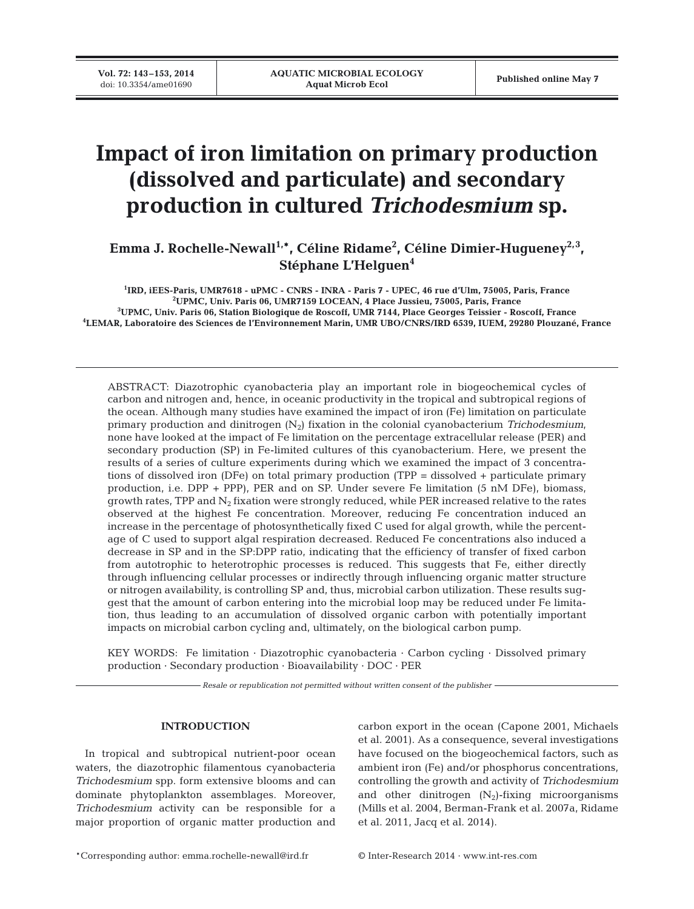# **Impact of iron limitation on primary production (dissolved and particulate) and secondary production in cultured** *Trichodesmium* **sp.**

Emma J. Rochelle-Newall<sup>1,\*</sup>, Céline Ridame<sup>2</sup>, Céline Dimier-Hugueney<sup>2,3</sup>, **Stéphane L'Helguen4**

 **IRD, iEES-Paris, UMR7618 - uPMC - CNRS - INRA - Paris 7 - UPEC, 46 rue d'Ulm, 75005, Paris, France UPMC, Univ. Paris 06, UMR7159 LOCEAN, 4 Place Jussieu, 75005, Paris, France UPMC, Univ. Paris 06, Station Biologique de Roscoff, UMR 7144, Place Georges Teissier - Roscoff, France LEMAR, Laboratoire des Sciences de l'Environnement Marin, UMR UBO/CNRS/IRD 6539, IUEM, 29280 Plouzané, France**

ABSTRACT: Diazotrophic cyanobacteria play an important role in biogeochemical cycles of carbon and nitrogen and, hence, in oceanic productivity in the tropical and subtropical regions of the ocean. Although many studies have examined the impact of iron (Fe) limitation on particulate primary production and dinitrogen (N2) fixation in the colonial cyanobacterium *Trichodesmium*, none have looked at the impact of Fe limitation on the percentage extracellular release (PER) and secondary production (SP) in Fe-limited cultures of this cyanobacterium. Here, we present the results of a series of culture experiments during which we examined the impact of 3 concentrations of dissolved iron (DFe) on total primary production (TPP = dissolved + particulate primary production, i.e. DPP + PPP), PER and on SP. Under severe Fe limitation (5 nM DFe), biomass, growth rates, TPP and  $N_2$  fixation were strongly reduced, while PER increased relative to the rates ob served at the highest Fe concentration. Moreover, reducing Fe concentration induced an increase in the percentage of photosynthetically fixed C used for algal growth, while the percentage of C used to support algal respiration decreased. Reduced Fe concentrations also induced a decrease in SP and in the SP:DPP ratio, indicating that the efficiency of transfer of fixed carbon from autotrophic to heterotrophic processes is reduced. This suggests that Fe, either directly through influencing cellular processes or indirectly through influencing organic matter structure or nitrogen availability, is controlling SP and, thus, microbial carbon utilization. These results suggest that the amount of carbon entering into the microbial loop may be reduced under Fe limitation, thus leading to an accumulation of dissolved organic carbon with potentially important impacts on microbial carbon cycling and, ultimately, on the biological carbon pump.

KEY WORDS: Fe limitation · Diazotrophic cyanobacteria · Carbon cycling · Dissolved primary production · Secondary production · Bioavailability · DOC · PER

*Resale or republication not permitted without written consent of the publisher*

## **INTRODUCTION**

In tropical and subtropical nutrient-poor ocean waters, the diazotrophic filamentous cyanobacteria *Trichodesmium* spp. form extensive blooms and can dominate phytoplankton assemblages. Moreover, *Trichodesmium* activity can be responsible for a major proportion of organic matter production and carbon export in the ocean (Capone 2001, Michaels et al. 2001). As a consequence, several investigations have focused on the biogeochemical factors, such as ambient iron (Fe) and/or phosphorus concentrations, controlling the growth and activity of *Trichodesmium* and other dinitrogen  $(N_2)$ -fixing microorganisms (Mills et al. 2004, Berman-Frank et al. 2007a, Ridame et al. 2011, Jacq et al. 2014).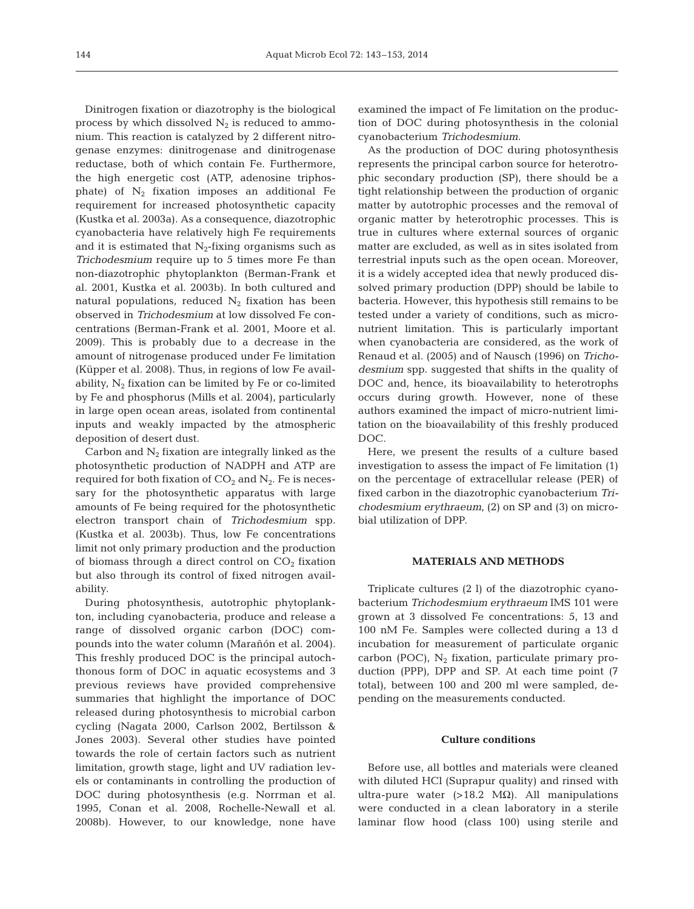Dinitrogen fixation or diazotrophy is the biological process by which dissolved  $N_2$  is reduced to ammonium. This reaction is catalyzed by 2 different nitrogenase enzymes: dinitrogenase and dinitrogenase reductase, both of which contain Fe. Furthermore, the high energetic cost (ATP, adenosine triphosphate) of  $N_2$  fixation imposes an additional Fe requirement for increased photosynthetic capacity (Kustka et al. 2003a). As a consequence, diazotrophic cyanobacteria have relatively high Fe requirements and it is estimated that  $N_2$ -fixing organisms such as *Trichodesmium* require up to 5 times more Fe than non-diazotrophic phytoplankton (Berman-Frank et al. 2001, Kustka et al. 2003b). In both cultured and natural populations, reduced  $N_2$  fixation has been observed in *Trichodesmium* at low dissolved Fe concentrations (Berman-Frank et al. 2001, Moore et al. 2009). This is probably due to a decrease in the amount of nitrogenase produced under Fe limitation (Küpper et al. 2008). Thus, in regions of low Fe availability,  $N_2$  fixation can be limited by Fe or co-limited by Fe and phosphorus (Mills et al. 2004), particularly in large open ocean areas, isolated from continental inputs and weakly impacted by the atmospheric deposition of desert dust.

Carbon and  $N_2$  fixation are integrally linked as the photosynthetic production of NADPH and ATP are required for both fixation of  $CO<sub>2</sub>$  and  $N<sub>2</sub>$ . Fe is necessary for the photosynthetic apparatus with large amounts of Fe being required for the photosynthetic electron transport chain of *Trichodesmium* spp. (Kustka et al. 2003b). Thus, low Fe concentrations limit not only primary production and the production of biomass through a direct control on  $CO<sub>2</sub>$  fixation but also through its control of fixed nitrogen availability.

During photosynthesis, autotrophic phytoplankton, including cyanobacteria, produce and release a range of dissolved organic carbon (DOC) compounds into the water column (Marañón et al. 2004). This freshly produced DOC is the principal autochthonous form of DOC in aquatic ecosystems and 3 previous reviews have provided comprehensive summaries that highlight the importance of DOC released during photosynthesis to microbial carbon cycling (Nagata 2000, Carlson 2002, Bertilsson & Jones 2003). Several other studies have pointed towards the role of certain factors such as nutrient limitation, growth stage, light and UV radiation levels or contaminants in controlling the production of DOC during photosynthesis (e.g. Norrman et al. 1995, Conan et al. 2008, Rochelle-Newall et al. 2008b). However, to our knowledge, none have

examined the impact of Fe limitation on the production of DOC during photosynthesis in the colonial cyanobacterium *Tricho des mium*.

As the production of DOC during photosynthesis represents the principal carbon source for heterotrophic secondary production (SP), there should be a tight relationship between the production of organic matter by autotrophic processes and the removal of organic matter by heterotrophic processes. This is true in cultures where external sources of organic matter are excluded, as well as in sites isolated from terrestrial inputs such as the open ocean. Moreover, it is a widely accepted idea that newly produced dissolved primary production (DPP) should be labile to bacteria. However, this hypothesis still remains to be tested under a variety of conditions, such as micronutrient limitation. This is particularly important when cyanobacteria are considered, as the work of Renaud et al. (2005) and of Nausch (1996) on *Tricho des mium* spp. suggested that shifts in the quality of DOC and, hence, its bioavailability to heterotrophs occurs during growth. However, none of these authors examined the impact of micro-nutrient limitation on the bioavailability of this freshly produced DOC.

Here, we present the results of a culture based investigation to assess the impact of Fe limitation (1) on the percentage of extracellular release (PER) of fixed carbon in the diazotrophic cyanobacterium *Trichodesmium erythraeum*, (2) on SP and (3) on microbial utilization of DPP.

## **MATERIALS AND METHODS**

Triplicate cultures (2 l) of the diazotrophic cyanobacterium *Trichodesmium erythraeum* IMS 101 were grown at 3 dissolved Fe concentrations: 5, 13 and 100 nM Fe. Samples were collected during a 13 d incubation for measurement of particulate organic carbon (POC),  $N_2$  fixation, particulate primary production (PPP), DPP and SP. At each time point (7 total), between 100 and 200 ml were sampled, depending on the measurements conducted.

## **Culture conditions**

Before use, all bottles and materials were cleaned with diluted HCl (Suprapur quality) and rinsed with ultra-pure water (>18.2 M $\Omega$ ). All manipulations were conducted in a clean laboratory in a sterile laminar flow hood (class 100) using sterile and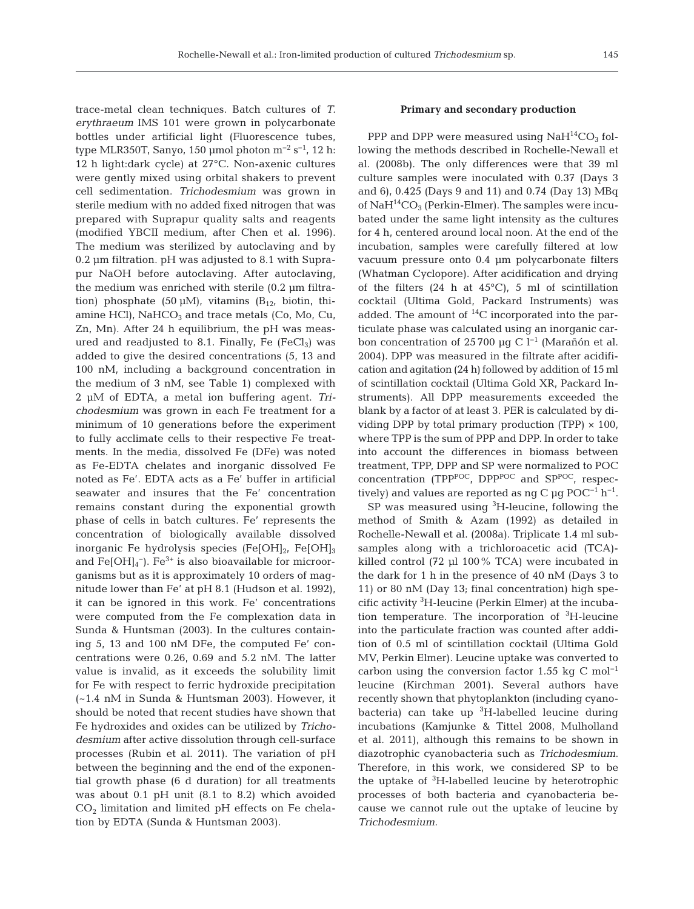trace-metal clean techniques. Batch cultures of *T. erythraeum* IMS 101 were grown in polycarbonate bottles under artificial light (Fluorescence tubes, type MLR350T, Sanyo, 150 µmol photon  $m^{-2}$  s<sup>-1</sup>, 12 h: 12 h light:dark cycle) at 27°C. Non-axenic cultures were gently mixed using orbital shakers to prevent cell sedimentation. *Trichodesmium* was grown in sterile medium with no added fixed nitrogen that was prepared with Suprapur quality salts and reagents (modified YBCII medium, after Chen et al. 1996). The medium was sterilized by autoclaving and by 0.2 µm filtration. pH was adjusted to 8.1 with Suprapur NaOH before autoclaving. After autoclaving, the medium was enriched with sterile (0.2 µm filtration) phosphate (50  $\mu$ M), vitamins (B<sub>12</sub>, biotin, thiamine HCl),  $NaHCO<sub>3</sub>$  and trace metals (Co, Mo, Cu, Zn, Mn). After 24 h equilibrium, the pH was measured and readjusted to 8.1. Finally, Fe  $(FeCl<sub>3</sub>)$  was added to give the desired concentrations (5, 13 and 100 nM, including a background concentration in the medium of 3 nM, see Table 1) complexed with 2 µM of EDTA, a metal ion buffering agent. *Trichodesmium* was grown in each Fe treatment for a minimum of 10 generations before the experiment to fully acclimate cells to their respective Fe treatments. In the media, dissolved Fe (DFe) was noted as Fe-EDTA chelates and inorganic dissolved Fe noted as Fe'. EDTA acts as a Fe' buffer in artificial seawater and insures that the Fe' concentration remains constant during the exponential growth phase of cells in batch cultures. Fe' represents the concentration of biologically available dissolved inorganic Fe hydrolysis species (Fe[OH]<sub>2</sub>, Fe[OH]<sub>3</sub> and  $Fe[OH]_4^-$ ).  $Fe^{3+}$  is also bioavailable for microorganisms but as it is approximately 10 orders of magnitude lower than Fe' at pH 8.1 (Hudson et al. 1992), it can be ignored in this work. Fe' concentrations were computed from the Fe complexation data in Sunda & Huntsman (2003). In the cultures containing 5, 13 and 100 nM DFe, the computed Fe' concentrations were 0.26, 0.69 and 5.2 nM. The latter value is invalid, as it exceeds the solubility limit for Fe with respect to ferric hydroxide precipitation (~1.4 nM in Sunda & Huntsman 2003). However, it should be noted that recent studies have shown that Fe hydroxides and oxides can be utilized by *Tricho*  desmium after active dissolution through cell-surface processes (Rubin et al. 2011). The variation of pH between the beginning and the end of the exponential growth phase (6 d duration) for all treatments was about 0.1 pH unit (8.1 to 8.2) which avoided  $CO<sub>2</sub>$  limitation and limited pH effects on Fe chelation by EDTA (Sunda & Huntsman 2003).

## **Primary and secondary production**

PPP and DPP were measured using  $NaH^{14}CO<sub>3</sub>$  following the methods described in Rochelle-Newall et al. (2008b). The only differences were that 39 ml culture samples were inoculated with 0.37 (Days 3 and 6), 0.425 (Days 9 and 11) and 0.74 (Day 13) MBq of  $\text{NaH}^{14}\text{CO}_3$  (Perkin-Elmer). The samples were incubated under the same light intensity as the cultures for 4 h, centered around local noon. At the end of the incubation, samples were carefully filtered at low vacuum pressure onto 0.4 µm polycarbonate filters (Whatman Cyclopore). After acidification and drying of the filters  $(24 \text{ h at } 45^{\circ}\text{C})$ , 5 ml of scintillation cocktail (Ultima Gold, Packard Instruments) was added. The amount of  ${}^{14}C$  incorporated into the particulate phase was calculated using an inorganic carbon concentration of 25 700 µg C l−1 (Marañón et al. 2004). DPP was measured in the filtrate after acidification and agitation (24 h) followed by addition of 15 ml of scintillation cocktail (Ultima Gold XR, Packard Instruments). All DPP measurements exceeded the blank by a factor of at least 3. PER is calculated by dividing DPP by total primary production (TPP)  $\times$  100, where TPP is the sum of PPP and DPP. In order to take into account the differences in biomass between treatment, TPP, DPP and SP were normalized to POC concentration (TPP $POC$ , DPP $POC$  and SP $POC$ , respectively) and values are reported as ng C µg POC<sup>-1</sup> h<sup>-1</sup>.

 $SP$  was measured using  ${}^{3}H$ -leucine, following the method of Smith & Azam (1992) as detailed in Rochelle-Newall et al. (2008a). Triplicate 1.4 ml subsamples along with a trichloroacetic acid (TCA) killed control (72 µl 100% TCA) were incubated in the dark for 1 h in the presence of 40 nM (Days 3 to 11) or 80 nM (Day 13; final concentration) high specific activity 3 H-leucine (Perkin Elmer) at the incubation temperature. The incorporation of  ${}^{3}$ H-leucine into the particulate fraction was counted after addition of 0.5 ml of scintillation cocktail (Ultima Gold MV, Perkin Elmer). Leucine uptake was converted to carbon using the conversion factor 1.55 kg C mol−1 leucine (Kirchman 2001). Several authors have recently shown that phytoplankton (including cyanobacteria) can take up  ${}^{3}$ H-labelled leucine during incubations (Kamjunke & Tittel 2008, Mulholland et al. 2011), although this remains to be shown in diazotrophic cyanobacteria such as *Trichodesmium*. Therefore, in this work, we considered SP to be the uptake of <sup>3</sup>H-labelled leucine by heterotrophic processes of both bacteria and cyanobacteria be cause we cannot rule out the uptake of leucine by *Trichodesmium*.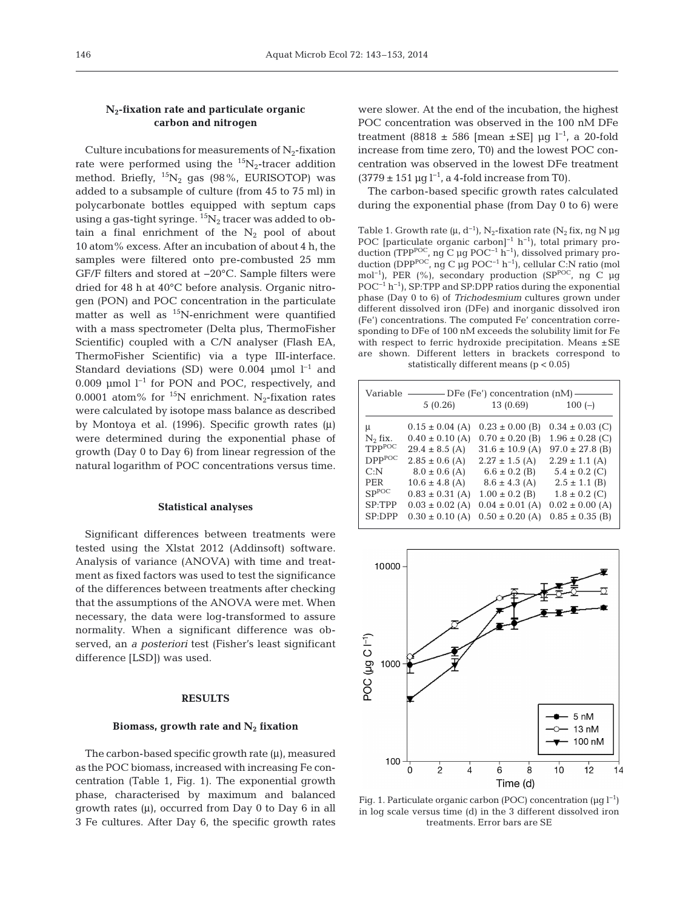# **N2-fixation rate and particulate organic carbon and nitrogen**

Culture incubations for measurements of  $N_2$ -fixation rate were performed using the  ${}^{15}N_2$ -tracer addition method. Briefly,  ${}^{15}N_2$  gas (98%, EURISOTOP) was added to a subsample of culture (from 45 to 75 ml) in polycarbonate bottles equipped with septum caps using a gas-tight syringe.  ${}^{15}N_2$  tracer was added to obtain a final enrichment of the  $N_2$  pool of about 10 atom% excess. After an incubation of about 4 h, the samples were filtered onto pre-combusted 25 mm GF/F filters and stored at −20°C. Sample filters were dried for 48 h at 40°C before analysis. Organic nitrogen (PON) and POC concentration in the particulate matter as well as  $^{15}$ N-enrichment were quantified with a mass spectrometer (Delta plus, ThermoFisher Scientific) coupled with a C/N analyser (Flash EA, ThermoFisher Scientific) via a type III-interface. Standard deviations (SD) were 0.004 µmol  $l^{-1}$  and 0.009 µmol l−1 for PON and POC, respectively, and 0.0001 atom% for <sup>15</sup>N enrichment. N<sub>2</sub>-fixation rates were calculated by isotope mass balance as described by Montoya et al. (1996). Specific growth rates (μ) were determined during the exponential phase of growth (Day 0 to Day 6) from linear regression of the natural logarithm of POC concentrations versus time.

#### **Statistical analyses**

Significant differences between treatments were tested using the Xlstat 2012 (Addinsoft) software. Analysis of variance (ANOVA) with time and treatment as fixed factors was used to test the significance of the differences between treatments after checking that the assumptions of the ANOVA were met. When necessary, the data were log-transformed to assure normality. When a significant difference was observed, an *a posteriori* test (Fisher's least significant difference [LSD]) was used.

## **RESULTS**

#### Biomass, growth rate and N<sub>2</sub> fixation

The carbon-based specific growth rate  $(\mu)$ , measured as the POC biomass, increased with increasing Fe concentration (Table 1, Fig. 1). The exponential growth phase, characterised by maximum and balanced growth rates  $(\mu)$ , occurred from Day 0 to Day 6 in all 3 Fe cultures. After Day 6, the specific growth rates

were slower. At the end of the incubation, the highest POC concentration was observed in the 100 nM DFe treatment (8818 ± 586 [mean ±SE] µg l<sup>-1</sup>, a 20-fold increase from time zero, T0) and the lowest POC concentration was observed in the lowest DFe treatment  $(3779 \pm 151 \,\text{µg l}^{-1}$ , a 4-fold increase from T0).

The carbon-based specific growth rates calculated during the exponential phase (from Day 0 to 6) were

Table 1. Growth rate (μ, d<sup>−1</sup>), N<sub>2</sub>-fixation rate (N<sub>2</sub> fix, ng N µg POC [particulate organic carbon]<sup>-1</sup> h<sup>-1</sup>), total primary production (TPP<sup>POC</sup>, ng C μg POC<sup>-1</sup> h<sup>-1</sup>), dissolved primary production (DPP<sup>POC</sup>, ng C μg POC<sup>-1</sup> h<sup>-1</sup>), cellular C:N ratio (mol mol<sup>-1</sup>), PER (%), secondary production (SP<sup>POC</sup>, ng C µg POC<sup>-1</sup> h<sup>-1</sup>), SP:TPP and SP:DPP ratios during the exponential phase (Day 0 to 6) of *Trichodesmium* cultures grown under different dissolved iron (DFe) and inorganic dissolved iron (Fe') concentrations. The computed Fe' concentration corresponding to DFe of 100 nM exceeds the solubility limit for Fe with respect to ferric hydroxide precipitation. Means  $\pm$  SE are shown. Different letters in brackets correspond to statistically different means (p < 0.05)

| Variable<br>– DFe (Fe') concentration (nM)- |                     |                     |                     |  |
|---------------------------------------------|---------------------|---------------------|---------------------|--|
|                                             | 5(0.26)             | 13(0.69)            | $100(-)$            |  |
| μ                                           | $0.15 \pm 0.04$ (A) | $0.23 \pm 0.00$ (B) | $0.34 \pm 0.03$ (C) |  |
| $N_2$ fix.                                  | $0.40 \pm 0.10$ (A) | $0.70 \pm 0.20$ (B) | $1.96 \pm 0.28$ (C) |  |
| <b>TPPPOC</b>                               | $29.4 \pm 8.5$ (A)  | $31.6 \pm 10.9$ (A) | $97.0 \pm 27.8$ (B) |  |
| DPP <sup>POC</sup>                          | $2.85 \pm 0.6$ (A)  | $2.27 \pm 1.5$ (A)  | $2.29 \pm 1.1$ (A)  |  |
| C: N                                        | $8.0 \pm 0.6$ (A)   | $6.6 \pm 0.2$ (B)   | $5.4 \pm 0.2$ (C)   |  |
| PER                                         | $10.6 \pm 4.8$ (A)  | $8.6 \pm 4.3$ (A)   | $2.5 \pm 1.1$ (B)   |  |
| $SP^{POC}$                                  | $0.83 \pm 0.31$ (A) | $1.00 \pm 0.2$ (B)  | $1.8 \pm 0.2$ (C)   |  |
| SP:TPP                                      | $0.03 \pm 0.02$ (A) | $0.04 \pm 0.01$ (A) | $0.02 \pm 0.00$ (A) |  |
| SP:DPP                                      | $0.30 \pm 0.10$ (A) | $0.50 \pm 0.20$ (A) | $0.85 \pm 0.35$ (B) |  |



Fig. 1. Particulate organic carbon (POC) concentration (µg l−1) in log scale versus time (d) in the 3 different dissolved iron treatments. Error bars are SE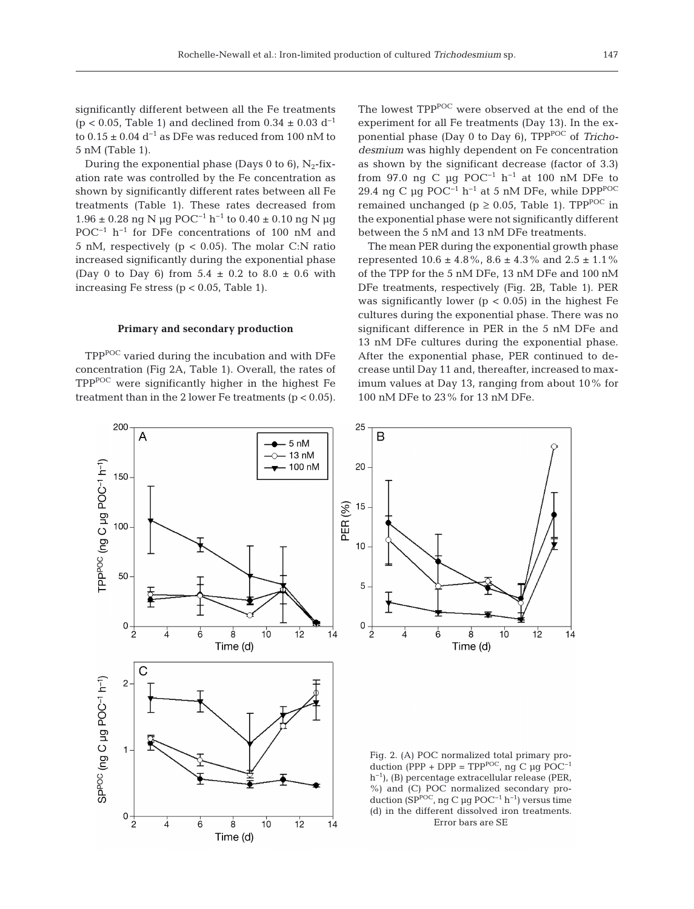During the exponential phase (Days 0 to 6),  $N_2$ -fixation rate was controlled by the Fe concentration as shown by significantly different rates between all Fe treatments (Table 1). These rates decreased from 1.96 ± 0.28 ng N µg POC<sup>-1</sup> h<sup>-1</sup> to 0.40 ± 0.10 ng N µg POC−1 h−1 for DFe concentrations of 100 nM and 5 nM, respectively ( $p < 0.05$ ). The molar C:N ratio increased significantly during the exponential phase (Day 0 to Day 6) from  $5.4 \pm 0.2$  to  $8.0 \pm 0.6$  with increasing Fe stress ( $p < 0.05$ , Table 1).

#### **Primary and secondary production**

TPP<sup>POC</sup> varied during the incubation and with DFe concentration (Fig 2A, Table 1). Overall, the rates of TPPPOC were significantly higher in the highest Fe treatment than in the 2 lower Fe treatments ( $p < 0.05$ ). The lowest TPP<sup>POC</sup> were observed at the end of the experiment for all Fe treatments (Day 13). In the exponential phase (Day 0 to Day 6), TPP<sup>POC</sup> of *Trichodes mium* was highly dependent on Fe concentration as shown by the significant decrease (factor of 3.3) from 97.0 ng C µg POC<sup>-1</sup> h<sup>-1</sup> at 100 nM DFe to 29.4 ng C µg POC<sup>-1</sup> h<sup>-1</sup> at 5 nM DFe, while DPP<sup>POC</sup> remained unchanged (p  $\geq$  0.05, Table 1). TPP<sup>POC</sup> in the exponential phase were not significantly different between the 5 nM and 13 nM DFe treatments.

The mean PER during the exponential growth phase represented  $10.6 \pm 4.8\%$ ,  $8.6 \pm 4.3\%$  and  $2.5 \pm 1.1\%$ of the TPP for the 5 nM DFe, 13 nM DFe and 100 nM DFe treatments, respectively (Fig. 2B, Table 1). PER was significantly lower ( $p < 0.05$ ) in the highest Fe cultures during the exponential phase. There was no significant difference in PER in the 5 nM DFe and 13 nM DFe cultures during the exponential phase. After the exponential phase, PER continued to decrease until Day 11 and, thereafter, increased to maximum values at Day 13, ranging from about 10% for 100 nM DFe to 23% for 13 nM DFe.

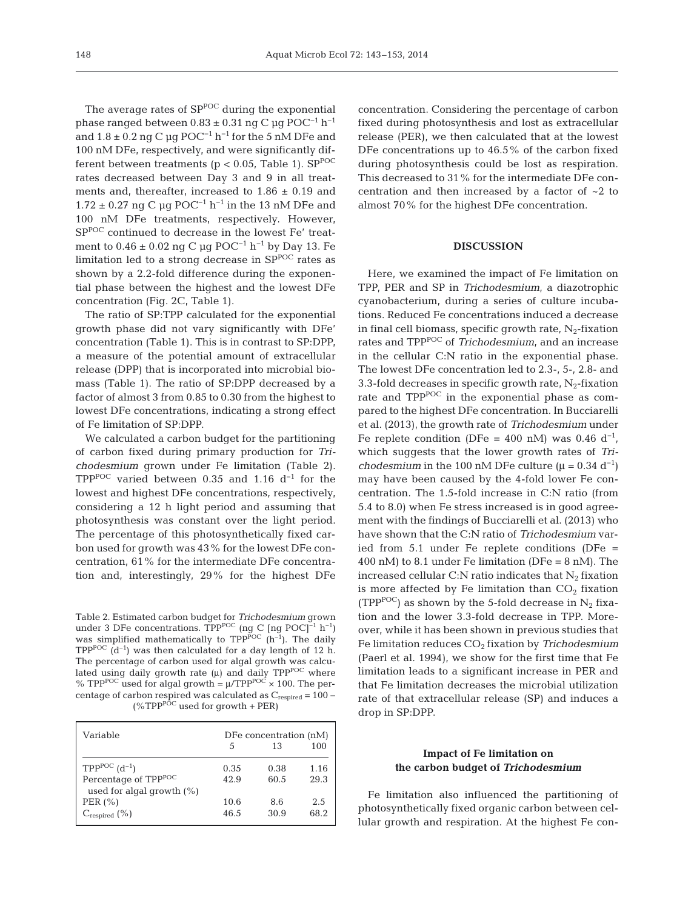The average rates of  $SP^{POC}$  during the exponential phase ranged between  $0.83 \pm 0.31$  ng C µg POC<sup>-1</sup> h<sup>-1</sup> and  $1.8 \pm 0.2$  ng C µg POC<sup>-1</sup> h<sup>-1</sup> for the 5 nM DFe and 100 nM DFe, respectively, and were significantly different between treatments ( $p < 0.05$ , Table 1). SP<sup>POC</sup> rates decreased between Day 3 and 9 in all treatments and, thereafter, increased to  $1.86 \pm 0.19$  and  $1.72 \pm 0.27$  ng C µg POC<sup>-1</sup> h<sup>-1</sup> in the 13 nM DFe and 100 nM DFe treatments, respectively. However, SPPOC continued to decrease in the lowest Fe' treatment to 0.46 ± 0.02 ng C µg POC−1 h−1 by Day 13. Fe limitation led to a strong decrease in  $SP^{POC}$  rates as shown by a 2.2-fold difference during the exponential phase between the highest and the lowest DFe concentration (Fig. 2C, Table 1).

The ratio of SP:TPP calculated for the exponential growth phase did not vary significantly with DFe' concentration (Table 1). This is in contrast to SP:DPP, a measure of the potential amount of extracellular release (DPP) that is incorporated into microbial biomass (Table 1). The ratio of SP:DPP decreased by a factor of almost 3 from 0.85 to 0.30 from the highest to lowest DFe concentrations, indicating a strong effect of Fe limitation of SP:DPP.

We calculated a carbon budget for the partitioning of carbon fixed during primary production for *Trichodesmium* grown under Fe limitation (Table 2). TPP<sup>POC</sup> varied between 0.35 and 1.16  $d^{-1}$  for the lowest and highest DFe concentrations, respectively, considering a 12 h light period and assuming that photosynthesis was constant over the light period. The percentage of this photosynthetically fixed carbon used for growth was 43% for the lowest DFe concentration, 61% for the intermediate DFe concentration and, interestingly, 29% for the highest DFe

Table 2. Estimated carbon budget for *Trichodesmium* grown under 3 DFe concentrations. TPP<sup>POC</sup> (ng C [ng POC]<sup>-1</sup> h<sup>-1</sup>) was simplified mathematically to  $TPP^{POC}$  (h<sup>-1</sup>). The daily TPP<sup>POC</sup> (d<sup>-1</sup>) was then calculated for a day length of 12 h. The percentage of carbon used for algal growth was calculated using daily growth rate  $(\mu)$  and daily TPP<sup>POC</sup> where % TPP<sup>POC</sup> used for algal growth =  $\mu$ /TPP<sup>POC</sup> × 100. The percentage of carbon respired was calculated as  $C_{\text{respired}} = 100 (\%TPP^{p\tilde{O}C}$  used for growth + PER)

| Variable                                                                                    | 5            | DFe concentration (nM)<br>13 | 100          |
|---------------------------------------------------------------------------------------------|--------------|------------------------------|--------------|
| $TPP^{POC}$ $(d^{-1})$<br>Percentage of TPP <sup>POC</sup><br>used for algal growth $(\% )$ | 0.35<br>42.9 | 0.38<br>60.5                 | 1.16<br>29.3 |
| PER $(\% )$<br>$C_{\text{respired}}\left(\%\right)$                                         | 10.6<br>46.5 | 8.6<br>30.9                  | 2.5<br>68.2  |

concentration. Considering the percentage of carbon fixed during photosynthesis and lost as extracellular release (PER), we then calculated that at the lowest DFe concentrations up to 46.5% of the carbon fixed during photosynthesis could be lost as respiration. This decreased to 31% for the intermediate DFe concentration and then increased by a factor of ~2 to almost 70% for the highest DFe concentration.

## **DISCUSSION**

Here, we examined the impact of Fe limitation on TPP, PER and SP in *Trichodesmium*, a diazotrophic cyanobacterium, during a series of culture incubations. Reduced Fe concentrations induced a decrease in final cell biomass, specific growth rate,  $N_2$ -fixation rates and TPPPOC of *Trichodesmium*, and an increase in the cellular C:N ratio in the exponential phase. The lowest DFe concentration led to 2.3-, 5-, 2.8- and 3.3-fold decreases in specific growth rate,  $N_2$ -fixation rate and TPP<sup>POC</sup> in the exponential phase as compared to the highest DFe concentration. In Bucciarelli et al. (2013), the growth rate of *Trichodesmium* under Fe replete condition (DFe = 400 nM) was 0.46 d<sup>-1</sup>, which suggests that the lower growth rates of *Trichodesmium* in the 100 nM DFe culture ( $\mu$  = 0.34 d<sup>-1</sup>) may have been caused by the 4-fold lower Fe concentration. The 1.5-fold increase in C:N ratio (from 5.4 to 8.0) when Fe stress increased is in good agreement with the findings of Bucciarelli et al. (2013) who have shown that the C:N ratio of *Trichodesmium* varied from 5.1 under Fe replete conditions (DFe = 400 nM) to 8.1 under Fe limitation (DFe = 8 nM). The increased cellular C:N ratio indicates that  $N_2$  fixation is more affected by Fe limitation than  $CO<sub>2</sub>$  fixation (TPP<sup>POC</sup>) as shown by the 5-fold decrease in  $N_2$  fixation and the lower 3.3-fold decrease in TPP. Moreover, while it has been shown in previous studies that Fe limitation reduces CO<sub>2</sub> fixation by *Trichodesmium* (Paerl et al. 1994), we show for the first time that Fe limitation leads to a significant increase in PER and that Fe limitation decreases the microbial utilization rate of that extracellular release (SP) and induces a drop in SP:DPP.

# **Impact of Fe limitation on the carbon budget of** *Trichodesmium*

Fe limitation also influenced the partitioning of photosynthetically fixed organic carbon between cellular growth and respiration. At the highest Fe con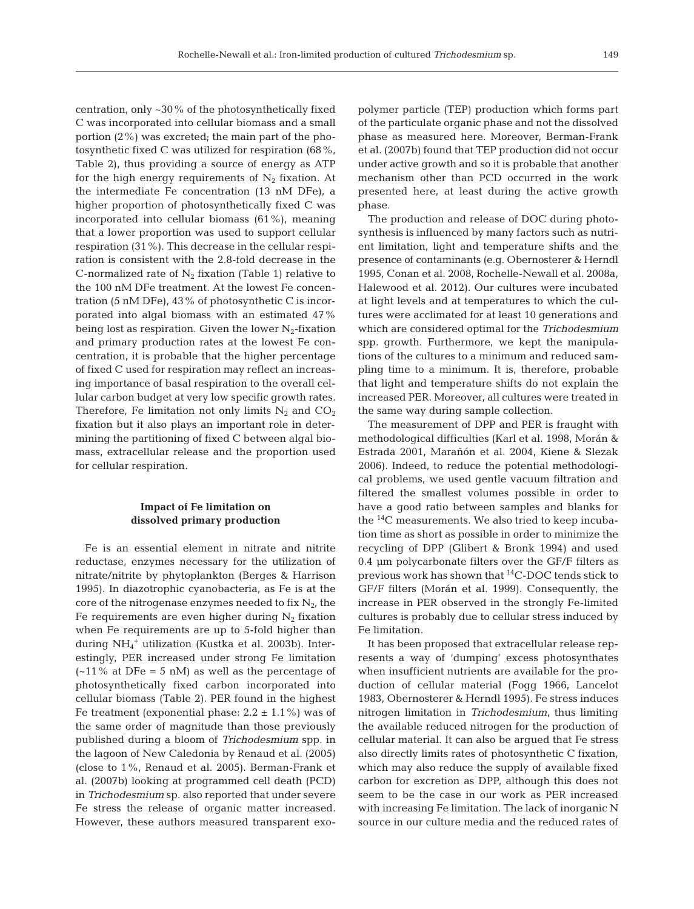centration, only ~30% of the photosynthetically fixed C was incorporated into cellular biomass and a small portion (2%) was excreted; the main part of the photosynthetic fixed C was utilized for respiration (68%, Table 2), thus providing a source of energy as ATP for the high energy requirements of  $N_2$  fixation. At the intermediate Fe concentration (13 nM DFe), a higher proportion of photosynthetically fixed C was incorporated into cellular biomass (61%), meaning that a lower proportion was used to support cellular respiration (31%). This decrease in the cellular respiration is consistent with the 2.8-fold decrease in the C-normalized rate of  $N_2$  fixation (Table 1) relative to the 100 nM DFe treatment. At the lowest Fe concentration (5 nM DFe), 43% of photosynthetic C is incorporated into algal biomass with an estimated 47% being lost as respiration. Given the lower  $N_2$ -fixation and primary production rates at the lowest Fe concentration, it is probable that the higher percentage of fixed C used for respiration may reflect an increasing importance of basal respiration to the overall cellular carbon budget at very low specific growth rates. Therefore, Fe limitation not only limits  $N_2$  and  $CO_2$ fixation but it also plays an important role in determining the partitioning of fixed C between algal biomass, extracellular release and the proportion used for cellular respiration.

## **Impact of Fe limitation on dissolved primary production**

Fe is an essential element in nitrate and nitrite reductase, enzymes necessary for the utilization of nitrate/nitrite by phytoplankton (Berges & Harrison 1995). In diazotrophic cyanobacteria, as Fe is at the core of the nitrogenase enzymes needed to fix  $N_2$ , the Fe requirements are even higher during  $N_2$  fixation when Fe requirements are up to 5-fold higher than during NH4 <sup>+</sup> utilization (Kustka et al. 2003b). Interestingly, PER increased under strong Fe limitation  $(-11\%$  at DFe = 5 nM) as well as the percentage of photosynthetically fixed carbon incorporated into cellular biomass (Table 2). PER found in the highest Fe treatment (exponential phase:  $2.2 \pm 1.1\%$ ) was of the same order of magnitude than those previously published during a bloom of *Trichodesmium* spp. in the lagoon of New Caledonia by Renaud et al. (2005) (close to 1%, Renaud et al. 2005). Berman-Frank et al. (2007b) looking at programmed cell death (PCD) in *Trichodesmium* sp. also reported that under severe Fe stress the release of organic matter increased. However, these authors measured transparent exo-

polymer particle (TEP) production which forms part of the particulate organic phase and not the dissolved phase as measured here. Moreover, Berman-Frank et al. (2007b) found that TEP production did not occur under active growth and so it is probable that another mechanism other than PCD occurred in the work presented here, at least during the active growth phase.

The production and release of DOC during photosynthesis is influenced by many factors such as nutrient limitation, light and temperature shifts and the presence of contaminants (e.g. Obernosterer & Herndl 1995, Conan et al. 2008, Rochelle-Newall et al. 2008a, Halewood et al. 2012). Our cultures were incubated at light levels and at temperatures to which the cultures were acclimated for at least 10 generations and which are considered optimal for the *Trichodesmium* spp. growth. Furthermore, we kept the manipulations of the cultures to a minimum and reduced sampling time to a minimum. It is, therefore, probable that light and temperature shifts do not explain the increased PER. Moreover, all cultures were treated in the same way during sample collection.

The measurement of DPP and PER is fraught with methodological difficulties (Karl et al. 1998, Morán & Estrada 2001, Marañón et al. 2004, Kiene & Slezak 2006). Indeed, to reduce the potential methodological problems, we used gentle vacuum filtration and filtered the smallest volumes possible in order to have a good ratio between samples and blanks for the 14C measurements. We also tried to keep incubation time as short as possible in order to minimize the recycling of DPP (Glibert & Bronk 1994) and used 0.4 µm polycarbonate filters over the GF/F filters as previous work has shown that  ${}^{14}$ C-DOC tends stick to GF/F filters (Morán et al. 1999). Consequently, the increase in PER observed in the strongly Fe-limited cultures is probably due to cellular stress induced by Fe limitation.

It has been proposed that extracellular release represents a way of 'dumping' excess photosynthates when insufficient nutrients are available for the production of cellular material (Fogg 1966, Lancelot 1983, Obernosterer & Herndl 1995). Fe stress induces nitrogen limitation in *Trichodesmium*, thus limiting the available reduced nitrogen for the production of cellular material. It can also be argued that Fe stress also directly limits rates of photosynthetic C fixation, which may also reduce the supply of available fixed carbon for excretion as DPP, although this does not seem to be the case in our work as PER increased with increasing Fe limitation. The lack of inorganic N source in our culture media and the reduced rates of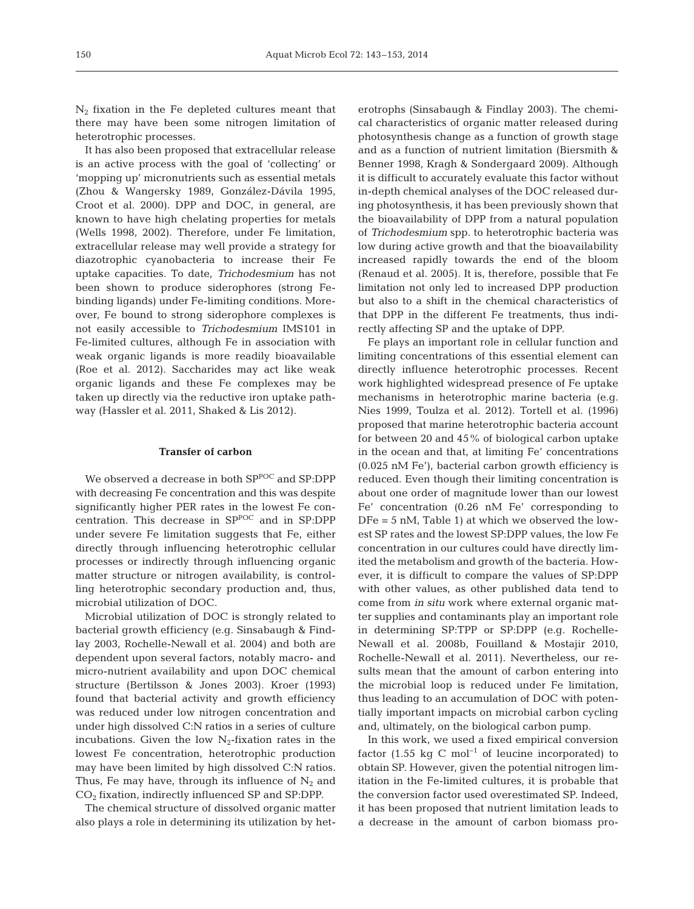$N_2$  fixation in the Fe depleted cultures meant that there may have been some nitrogen limitation of heterotrophic processes.

It has also been proposed that extracellular release is an active process with the goal of 'collecting' or 'mopping up' micronutrients such as essential metals (Zhou & Wangersky 1989, González-Dávila 1995, Croot et al. 2000). DPP and DOC, in general, are known to have high chelating properties for metals (Wells 1998, 2002). Therefore, under Fe limitation, extracellular release may well provide a strategy for diazotrophic cyanobacteria to increase their Fe uptake capacities. To date, *Trichodesmium* has not been shown to produce siderophores (strong Febinding ligands) under Fe-limiting conditions. Moreover, Fe bound to strong siderophore complexes is not easily accessible to *Trichodesmium* IMS101 in Fe-limited cultures, although Fe in association with weak organic ligands is more readily bioavailable (Roe et al. 2012). Saccharides may act like weak organic ligands and these Fe complexes may be taken up directly via the reductive iron uptake pathway (Hassler et al. 2011, Shaked & Lis 2012).

## **Transfer of carbon**

We observed a decrease in both  $\mathrm{SP}^\mathrm{POC}$  and  $\mathrm{SP:} \mathrm{DPP}$ with decreasing Fe concentration and this was despite significantly higher PER rates in the lowest Fe concentration. This decrease in  $SP^{POC}$  and in SP:DPP under severe Fe limitation suggests that Fe, either directly through influencing heterotrophic cellular processes or indirectly through influencing organic matter structure or nitrogen availability, is controlling heterotrophic secondary production and, thus, microbial utilization of DOC.

Microbial utilization of DOC is strongly related to bacterial growth efficiency (e.g. Sinsabaugh & Findlay 2003, Rochelle-Newall et al. 2004) and both are dependent upon several factors, notably macro- and micro-nutrient availability and upon DOC chemical structure (Bertilsson & Jones 2003). Kroer (1993) found that bacterial activity and growth efficiency was reduced under low nitrogen concentration and under high dissolved C:N ratios in a series of culture incubations. Given the low  $N_2$ -fixation rates in the lowest Fe concentration, heterotrophic production may have been limited by high dissolved C:N ratios. Thus, Fe may have, through its influence of  $N_2$  and  $CO<sub>2</sub>$  fixation, indirectly influenced SP and SP:DPP.

The chemical structure of dissolved organic matter also plays a role in determining its utilization by heterotrophs (Sinsabaugh & Findlay 2003). The chemical characteristics of organic matter released during photosynthesis change as a function of growth stage and as a function of nutrient limitation (Biersmith & Benner 1998, Kragh & Sondergaard 2009). Although it is difficult to accurately evaluate this factor without in-depth chemical analyses of the DOC released during photosynthesis, it has been previously shown that the bioavailability of DPP from a natural population of *Trichodesmium* spp. to heterotrophic bacteria was low during active growth and that the bioavailability increased rapidly to wards the end of the bloom (Renaud et al. 2005). It is, therefore, possible that Fe limitation not only led to increased DPP production but also to a shift in the chemical characteristics of that DPP in the different Fe treatments, thus indirectly affecting SP and the uptake of DPP.

Fe plays an important role in cellular function and limiting concentrations of this essential element can directly influence heterotrophic processes. Recent work highlighted widespread presence of Fe uptake mechanisms in heterotrophic marine bacteria (e.g. Nies 1999, Toulza et al. 2012). Tortell et al. (1996) proposed that marine heterotrophic bacteria account for between 20 and 45% of biological carbon uptake in the ocean and that, at limiting Fe' concentrations (0.025 nM Fe'), bacterial carbon growth efficiency is reduced. Even though their limiting concentration is about one order of magnitude lower than our lowest Fe' concentration (0.26 nM Fe' corresponding to DFe = 5 nM, Table 1) at which we observed the lowest SP rates and the lowest SP:DPP values, the low Fe concentration in our cultures could have directly limited the metabolism and growth of the bacteria. However, it is difficult to compare the values of SP:DPP with other values, as other published data tend to come from *in situ* work where external organic matter supplies and contaminants play an important role in determining SP:TPP or SP:DPP (e.g. Rochelle-Newall et al. 2008b, Fouilland & Mostajir 2010, Rochelle-Newall et al. 2011). Nevertheless, our re sults mean that the amount of carbon entering into the microbial loop is reduced under Fe limitation, thus leading to an accumulation of DOC with potentially important impacts on microbial carbon cycling and, ultimately, on the biological carbon pump.

In this work, we used a fixed empirical conversion factor (1.55 kg C mol<sup>-1</sup> of leucine incorporated) to obtain SP. However, given the potential nitrogen limitation in the Fe-limited cultures, it is probable that the conversion factor used overestimated SP. Indeed, it has been proposed that nutrient limitation leads to a decrease in the amount of carbon biomass pro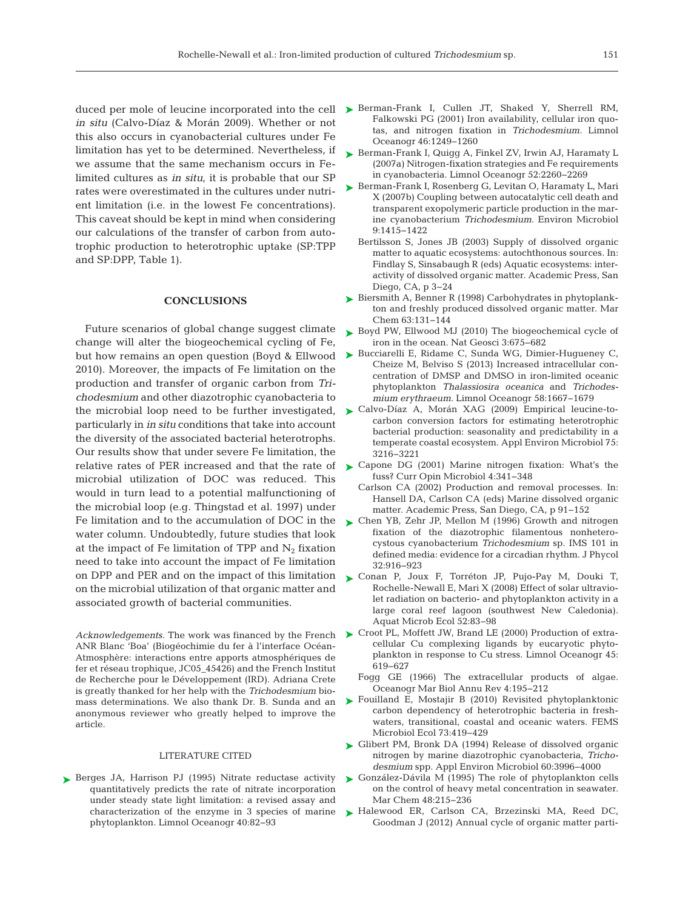*in situ* (Calvo-Díaz & Morán 2009). Whether or not this also occurs in cyanobacterial cultures under Fe limitation has yet to be determined. Nevertheless, if we assume that the same mechanism occurs in Felimited cultures as *in situ*, it is probable that our SP rates were overestimated in the cultures under nutrient limitation (i.e. in the lowest Fe concentrations). This caveat should be kept in mind when considering our calculations of the transfer of carbon from autotrophic production to heterotrophic uptake (SP:TPP and SP:DPP, Table 1).

# **CONCLUSIONS**

Future scenarios of global change suggest climate change will alter the biogeochemical cycling of Fe, but how remains an open question (Boyd & Ellwood 2010). Moreover, the impacts of Fe limitation on the production and transfer of organic carbon from *Trichodesmium* and other diazotrophic cyanobacteria to particularly in *in situ* conditions that take into account the diversity of the associated bacterial heterotrophs. Our results show that under severe Fe limitation, the microbial utilization of DOC was reduced. This would in turn lead to a potential malfunctioning of the microbial loop (e.g. Thingstad et al. 1997) under Fe limitation and to the accumulation of DOC in the  $\triangleright$  [Chen YB, Zehr JP, Mellon M \(1996\) Growth and nitrogen](http://dx.doi.org/10.1111/j.0022-3646.1996.00916.x) water column. Undoubtedly, future studies that look at the impact of Fe limitation of TPP and  $N_2$  fixation need to take into account the impact of Fe limitation on DPP and PER and on the impact of this limitation on the microbial utilization of that organic matter and associated growth of bacterial communities.

ANR Blanc 'Boa' (Biogéochimie du fer à l'interface Océan-Atmosphère: interactions entre apports atmosphériques de fer et réseau trophique, JC05\_45426) and the French Institut de Recherche pour le Développement (IRD). Adriana Crete is greatly thanked for her help with the *Trichodesmium* biomass determinations. We also thank Dr. B. Sunda and an anonymous reviewer who greatly helped to improve the article.

#### LITERATURE CITED

▶ [Berges JA, Harrison PJ \(1995\) Nitrate reductase activity](http://dx.doi.org/10.4319/lo.1995.40.1.0082) quantitatively predicts the rate of nitrate incorporation under steady state light limitation: a revised assay and characterization of the enzyme in 3 species of marine phytoplankton. Limnol Oceanogr 40: 82−93

- duced per mole of leucine incorporated into the cell  $\triangleright$  [Berman-Frank I, Cullen JT, Shaked Y, Sherrell RM,](http://dx.doi.org/10.4319/lo.2001.46.6.1249) Falkowski PG (2001) Iron availability, cellular iron quotas, and nitrogen fixation in *Trichodesmium.* Limnol Oceanogr 46: 1249−1260
	- ▶ [Berman-Frank I, Quigg A, Finkel ZV, Irwin AJ, Haramaty L](http://dx.doi.org/10.4319/lo.2007.52.5.2260) (2007a) Nitrogen-fixation strategies and Fe requirements in cyanobacteria. Limnol Oceanogr 52: 2260−2269
	- ► [Berman-Frank I, Rosenberg G, Levitan O, Haramaty L, Mari](http://dx.doi.org/10.1111/j.1462-2920.2007.01257.x) X (2007b) Coupling between autocatalytic cell death and transparent exopolymeric particle production in the marine cyanobacterium *Trichodesmium.* Environ Microbiol 9: 1415−1422
		- Bertilsson S, Jones JB (2003) Supply of dissolved organic matter to aquatic ecosystems: autochthonous sources. In: Findlay S, Sinsabaugh R (eds) Aquatic ecosystems: interactivity of dissolved organic matter. Academic Press, San Diego, CA, p 3−24
	- ► [Biersmith A, Benner R \(1998\) Carbohydrates in phytoplank](http://dx.doi.org/10.1016/S0304-4203(98)00057-7)ton and freshly produced dissolved organic matter. Mar Chem 63: 131−144
	- ► [Boyd PW, Ellwood MJ \(2010\) The biogeochemical cycle of](http://dx.doi.org/10.1038/ngeo964) iron in the ocean. Nat Geosci 3: 675−682
	- ► [Bucciarelli E, Ridame C, Sunda WG, Dimier-Hugueney C,](http://dx.doi.org/10.4319/lo.2013.58.5.1667) Cheize M, Belviso S (2013) Increased intracellular concentration of DMSP and DMSO in iron-limited oceanic phytoplankton *Thalassiosira oceanica* and *Tricho des mium erythraeum.* Limnol Oceanogr 58: 1667−1679
- the microbial loop need to be further investigated,  $\triangleright$  [Calvo-Díaz A, Morán XAG \(2009\) Empirical leucine-to](http://dx.doi.org/10.1128/AEM.01570-08)carbon conversion factors for estimating heterotrophic bacterial production: seasonality and predictability in a temperate coastal ecosystem. Appl Environ Microbiol 75: 3216−3221
- relative rates of PER increased and that the rate of  $\triangleright$  Capone DG (2001) Marine nitrogen fixation: What's the fuss? Curr Opin Microbiol 4: 341−348
	- Carlson CA (2002) Production and removal processes. In: Hansell DA, Carlson CA (eds) Marine dissolved organic matter. Academic Press, San Diego, CA, p 91−152
	- fixation of the diazotrophic filamentous nonheterocystous cyanobacterium *Trichodesmium* sp. IMS 101 in defined media: evidence for a circadian rhythm. J Phycol 32: 916−923
	- [Conan P, Joux F, Torréton JP, Pujo-Pay M, Douki T,](http://dx.doi.org/10.3354/ame01204) ➤ Rochelle-Newall E, Mari X (2008) Effect of solar ultraviolet radiation on bacterio- and phytoplankton activity in a large coral reef lagoon (southwest New Caledonia). Aquat Microb Ecol 52: 83−98
- Acknowledgements. The work was financed by the French ► [Croot PL, Moffett JW, Brand LE \(2000\) Production of extra](http://dx.doi.org/10.4319/lo.2000.45.3.0619)cellular Cu complexing ligands by eucaryotic phytoplankton in response to Cu stress. Limnol Oceanogr 45: 619−627
	- Fogg GE (1966) The extracellular products of algae. Oceanogr Mar Biol Annu Rev 4: 195−212
	- ► [Fouilland E, Mostajir B \(2010\) Revisited phytoplanktonic](http://dx.doi.org/10.1111/j.1574-6941.2010.00896.x) carbon dependency of heterotrophic bacteria in freshwaters, transitional, coastal and oceanic waters. FEMS Microbiol Ecol 73:419-429
	- ► [Glibert PM, Bronk DA \(1994\) Release of dissolved organic](http://www.ncbi.nlm.nih.gov/entrez/query.fcgi?cmd=Retrieve&db=PubMed&list_uids=16349432&dopt=Abstract) nitrogen by marine diazotrophic cyanobacteria, *Tricho desmium* spp. Appl Environ Microbiol 60:3996-4000
	- ► [González-Dávila M \(1995\) The role of phytoplankton cells](http://dx.doi.org/10.1016/0304-4203(94)00045-F) on the control of heavy metal concentration in seawater. Mar Chem 48:215-236
	- [Halewood ER, Carlson CA, Brzezinski MA, Reed DC,](http://dx.doi.org/10.3354/ame01586) ➤Goodman J (2012) Annual cycle of organic matter parti-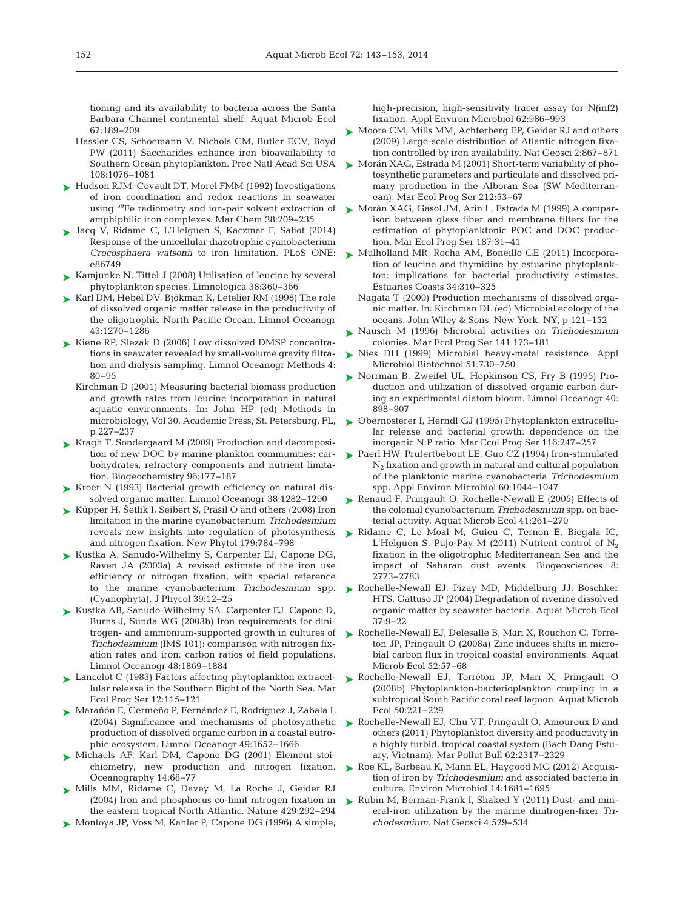tioning and its availability to bacteria across the Santa Barbara Channel continental shelf. Aquat Microb Ecol 67: 189−209

- Hassler CS, Schoemann V, Nichols CM, Butler ECV, Boyd PW (2011) Saccharides enhance iron bioavailability to Southern Ocean phytoplankton. Proc Natl Acad Sci USA 108: 1076−1081
- ► [Hudson RJM, Covault DT, Morel FMM \(1992\) Investigations](http://dx.doi.org/10.1016/0304-4203(92)90035-9) of iron coordination and redox reactions in seawater using 59Fe radiometry and ion-pair solvent extraction of amphiphilic iron complexes. Mar Chem 38: 209−235
- [Jacq V, Ridame C, L'Helguen S, Kaczmar F, Saliot \(2014\)](http://www.ncbi.nlm.nih.gov/entrez/query.fcgi?cmd=Retrieve&db=PubMed&list_uids=24466221&dopt=Abstract) ➤ Response of the unicellular diazotrophic cyanobacterium *Crocosphaera watsonii* to iron limitation. PLoS ONE: e86749
- ► [Kamjunke N, Tittel J \(2008\) Utilisation of leucine by several](http://dx.doi.org/10.1016/j.limno.2008.05.002) phytoplankton species. Limnologica 38: 360−366
- [Karl DM, Hebel DV, Bjökman K, Letelier RM \(1998\) The role](http://dx.doi.org/10.4319/lo.1998.43.6.1270) ➤ of dissolved organic matter release in the productivity of the oligotrophic North Pacific Ocean. Limnol Oceanogr 43: 1270−1286
- ► [Kiene RP, Slezak D \(2006\) Low dissolved DMSP concentra](http://dx.doi.org/10.4319/lom.2006.4.80)tions in seawater revealed by small-volume gravity filtration and dialysis sampling. Limnol Oceanogr Methods 4: 80−95
	- Kirchman D (2001) Measuring bacterial biomass production and growth rates from leucine incorporation in natural aquatic environments. In: John HP (ed) Methods in microbiology, Vol 30. Academic Press, St. Petersburg, FL, p 227−237
- ► [Kragh T, Sondergaard M \(2009\) Production and decomposi](http://dx.doi.org/10.1007/s10533-009-9357-1)tion of new DOC by marine plankton communities: carbohydrates, refractory components and nutrient limitation. Biogeochemistry 96: 177−187
- ► [Kroer N \(1993\) Bacterial growth efficiency on natural dis](http://dx.doi.org/10.4319/lo.1993.38.6.1282)solved organic matter. Limnol Oceanogr 38: 1282−1290
- ► [Küpper H, Šetlík I, Seibert S, Prášil O and others \(2008\) Iron](http://dx.doi.org/10.1111/j.1469-8137.2008.02497.x) limitation in the marine cyanobacterium *Trichodesmium* reveals new insights into regulation of photosynthesis and nitrogen fixation. New Phytol 179: 784−798
- ► [Kustka A, Sanudo-Wilhelmy S, Carpenter EJ, Capone DG,](http://dx.doi.org/10.1046/j.1529-8817.2003.01156.x) Raven JA (2003a) A revised estimate of the iron use efficiency of nitrogen fixation, with special reference to the marine cyanobacterium *Trichodesmium* spp. (Cyanophyta). J Phycol 39: 12−25
- ► [Kustka AB, Sanudo-Wilhelmy SA, Carpenter EJ, Capone D,](http://dx.doi.org/10.4319/lo.2003.48.5.1869) Burns J, Sunda WG (2003b) Iron requirements for dinitrogen- and ammonium-supported growth in cultures of *Trichodesmium* (IMS 101): comparison with nitrogen fixation rates and iron: carbon ratios of field populations. Limnol Oceanogr 48: 1869−1884
- ► [Lancelot C \(1983\) Factors affecting phytoplankton extracel](http://dx.doi.org/10.3354/meps012115)lular release in the Southern Bight of the North Sea. Mar Ecol Prog Ser 12: 115−121
- [Marañón E, Cermeño P, Fernández E, Rodríguez J, Zabala L](http://dx.doi.org/10.4319/lo.2004.49.5.1652) ➤ (2004) Significance and mechanisms of photosynthetic production of dissolved organic carbon in a coastal eutro phic ecosystem. Limnol Oceanogr 49: 1652−1666
- ▶ [Michaels AF, Karl DM, Capone DG \(2001\) Element stoi](http://dx.doi.org/10.5670/oceanog.2001.08)chiometry, new production and nitrogen fixation. Oceanography 14:68-77
- [Mills MM, Ridame C, Davey M, La Roche J, Geider RJ](http://dx.doi.org/10.1038/nature02550) ➤ (2004) Iron and phosphorus co-limit nitrogen fixation in the eastern tropical North Atlantic. Nature 429:292-294
- ► [Montoya JP, Voss M, Kahler P, Capone DG \(1996\) A simple,](http://www.ncbi.nlm.nih.gov/entrez/query.fcgi?cmd=Retrieve&db=PubMed&list_uids=16535283&dopt=Abstract)

high-precision, high-sensitivity tracer assay for N(inf2) fixation. Appl Environ Microbiol 62: 986−993

- [Moore CM, Mills MM, Achterberg EP, Geider RJ and others](http://dx.doi.org/10.1038/ngeo667) ➤ (2009) Large-scale distribution of Atlantic nitrogen fixation controlled by iron availability. Nat Geosci 2: 867−871
- [Morán XAG, Estrada M \(2001\) Short-term variability of pho-](http://dx.doi.org/10.3354/meps212053)➤ tosynthetic parameters and particulate and dissolved primary production in the Alboran Sea (SW Mediterranean). Mar Ecol Prog Ser 212:53-67
- [Morán XAG, Gasol JM, Arin L, Estrada M \(1999\) A compar-](http://dx.doi.org/10.3354/meps187031)➤ ison between glass fiber and membrane filters for the estimation of phytoplanktonic POC and DOC production. Mar Ecol Prog Ser 187:31-41
- [Mulholland MR, Rocha AM, Boneillo GE \(2011\) Incorpora-](http://dx.doi.org/10.1007/s12237-010-9366-2)➤ tion of leucine and thymidine by estuarine phytoplankton: implications for bacterial productivity estimates. Estuaries Coasts 34: 310−325
	- Nagata T (2000) Production mechanisms of dissolved organic matter. In:Kirchman DL (ed) Microbial ecology of the oceans. John Wiley & Sons, New York, NY, p 121−152
- [Nausch M \(1996\) Microbial activities on](http://dx.doi.org/10.3354/meps141173) *Trichodesmium* ➤ colonies. Mar Ecol Prog Ser 141: 173−181
- ▶ [Nies DH \(1999\) Microbial heavy-metal resistance. Appl](http://dx.doi.org/10.1007/s002530051457) Microbiol Biotechnol 51: 730−750
- ▶ [Norrman B, Zweifel UL, Hopkinson CS, Fry B \(1995\) Pro](http://dx.doi.org/10.4319/lo.1995.40.5.0898)duction and utilization of dissolved organic carbon during an experimental diatom bloom. Limnol Oceanogr 40: 898−907
- ► [Obernosterer I, Herndl GJ \(1995\) Phytoplankton extracellu](http://dx.doi.org/10.3354/meps116247)lar release and bacterial growth: dependence on the inorganic N: P ratio. Mar Ecol Prog Ser 116: 247−257
- ▶ [Paerl HW, Prufertbebout LE, Guo CZ \(1994\) Iron-stimulated](http://www.ncbi.nlm.nih.gov/entrez/query.fcgi?cmd=Retrieve&db=PubMed&list_uids=16349210&dopt=Abstract)  $N_2$  fixation and growth in natural and cultural population of the planktonic marine cyanobacteria *Trichodesmium* spp. Appl Environ Microbiol 60: 1044−1047
- [Renaud F, Pringault O, Rochelle-Newall E \(2005\) Effects of](http://dx.doi.org/10.3354/ame041261) the colonial cyanobacterium *Trichodesmium* spp. on bacterial activity. Aquat Microb Ecol 41:261-270 ➤
- ▶ [Ridame C, Le Moal M, Guieu C, Ternon E, Biegala IC,](http://dx.doi.org/10.5194/bg-8-2773-2011) L'Helguen S, Pujo-Pay M (2011) Nutrient control of  $N_2$ fixation in the oligotrophic Mediterranean Sea and the im pact of Saharan dust events. Biogeosciences 8: 2773−2783
- ▶ [Rochelle-Newall EJ, Pizay MD, Middelburg JJ, Boschker](http://dx.doi.org/10.3354/ame037009) HTS, Gattuso JP (2004) Degradation of riverine dissolved organic matter by seawater bacteria. Aquat Microb Ecol 37: 9−22
- ▶ [Rochelle-Newall EJ, Delesalle B, Mari X, Rouchon C, Torré](http://dx.doi.org/10.3354/ame01212)ton JP, Pringault O (2008a) Zinc induces shifts in microbial carbon flux in tropical coastal environments. Aquat Microb Ecol 52:57-68
- [Rochelle-Newall EJ, Torréton JP, Mari X, Pringault O](http://dx.doi.org/10.3354/ame01158) ➤ (2008b) Phytoplankton-bacterioplankton coupling in a subtropical South Pacific coral reef lagoon. Aquat Microb Ecol 50: 221−229
- ▶ [Rochelle-Newall EJ, Chu VT, Pringault O, Amouroux D and](http://dx.doi.org/10.1016/j.marpolbul.2011.08.044) others (2011) Phytoplankton diversity and productivity in a highly turbid, tropical coastal system (Bach Dang Estuary, Vietnam). Mar Pollut Bull 62:2317-2329
- ▶ [Roe KL, Barbeau K, Mann EL, Haygood MG \(2012\) Acquisi](http://dx.doi.org/10.1111/j.1462-2920.2011.02653.x)tion of iron by *Trichodesmium* and associated bacteria in culture. Environ Microbiol 14: 1681−1695
- ▶ [Rubin M, Berman-Frank I, Shaked Y \(2011\) Dust- and min](http://dx.doi.org/10.1038/ngeo1181)eral-iron utilization by the marine dinitrogen-fixer *Trichodesmium*. Nat Geosci 4: 529−534